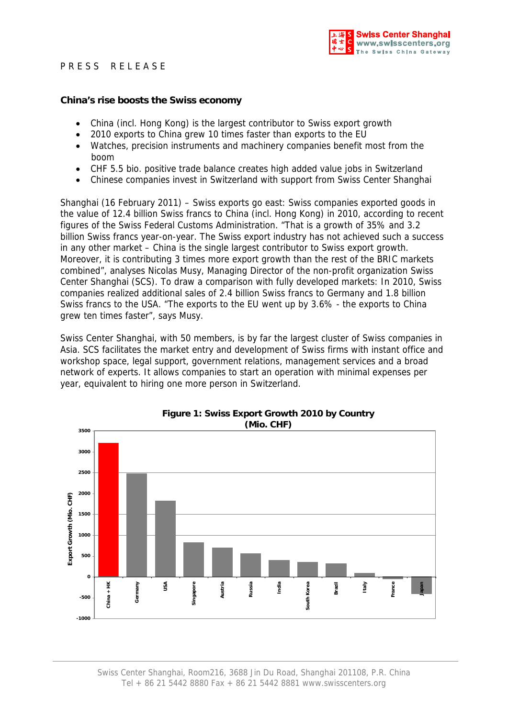## PRESS RELEASE



#### **China's rise boosts the Swiss economy**

- China (incl. Hong Kong) is the largest contributor to Swiss export growth
- 2010 exports to China grew 10 times faster than exports to the EU
- Watches, precision instruments and machinery companies benefit most from the boom
- CHF 5.5 bio. positive trade balance creates high added value jobs in Switzerland
- Chinese companies invest in Switzerland with support from Swiss Center Shanghai

Shanghai (16 February 2011) – Swiss exports go east: Swiss companies exported goods in the value of 12.4 billion Swiss francs to China (incl. Hong Kong) in 2010, according to recent figures of the Swiss Federal Customs Administration. "That is a growth of 35% and 3.2 billion Swiss francs year-on-year. The Swiss export industry has not achieved such a success in any other market – China is the single largest contributor to Swiss export growth. Moreover, it is contributing 3 times more export growth than the rest of the BRIC markets combined", analyses Nicolas Musy, Managing Director of the non-profit organization Swiss Center Shanghai (SCS). To draw a comparison with fully developed markets: In 2010, Swiss companies realized additional sales of 2.4 billion Swiss francs to Germany and 1.8 billion Swiss francs to the USA. "The exports to the EU went up by 3.6% - the exports to China grew ten times faster", says Musy.

Swiss Center Shanghai, with 50 members, is by far the largest cluster of Swiss companies in Asia. SCS facilitates the market entry and development of Swiss firms with instant office and workshop space, legal support, government relations, management services and a broad network of experts. It allows companies to start an operation with minimal expenses per year, equivalent to hiring one more person in Switzerland.



# **Figure 1: Swiss Export Growth 2010 by Country**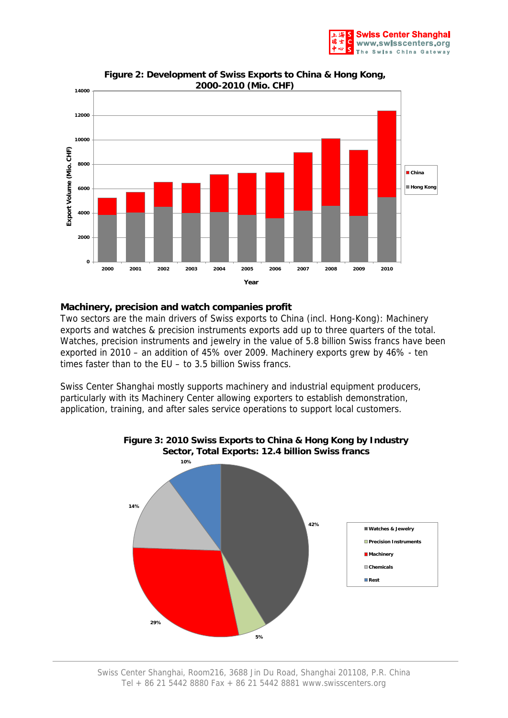



**Figure 2: Development of Swiss Exports to China & Hong Kong, 2000-2010 (Mio. CHF)**

#### **Machinery, precision and watch companies profit**

Two sectors are the main drivers of Swiss exports to China (incl. Hong-Kong): Machinery exports and watches & precision instruments exports add up to three quarters of the total. Watches, precision instruments and jewelry in the value of 5.8 billion Swiss francs have been exported in 2010 – an addition of 45% over 2009. Machinery exports grew by 46% - ten times faster than to the EU – to 3.5 billion Swiss francs.

Swiss Center Shanghai mostly supports machinery and industrial equipment producers, particularly with its Machinery Center allowing exporters to establish demonstration, application, training, and after sales service operations to support local customers.



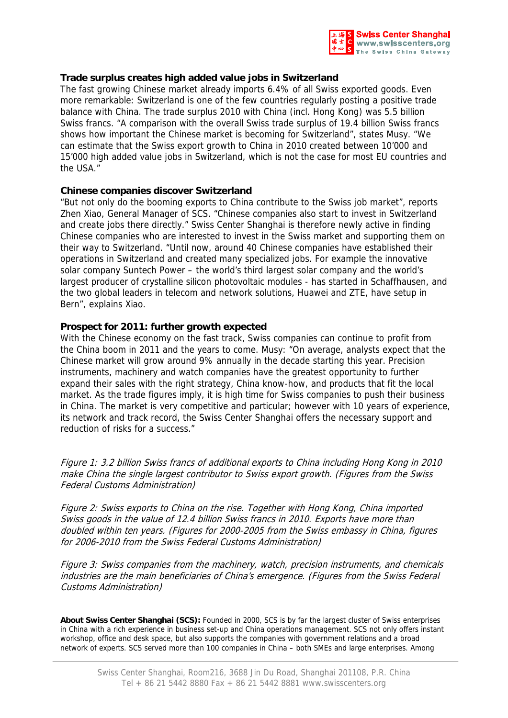

### **Trade surplus creates high added value jobs in Switzerland**

The fast growing Chinese market already imports 6.4% of all Swiss exported goods. Even more remarkable: Switzerland is one of the few countries regularly posting a positive trade balance with China. The trade surplus 2010 with China (incl. Hong Kong) was 5.5 billion Swiss francs. "A comparison with the overall Swiss trade surplus of 19.4 billion Swiss francs shows how important the Chinese market is becoming for Switzerland", states Musy. "We can estimate that the Swiss export growth to China in 2010 created between 10'000 and 15'000 high added value jobs in Switzerland, which is not the case for most EU countries and the USA."

#### **Chinese companies discover Switzerland**

"But not only do the booming exports to China contribute to the Swiss job market", reports Zhen Xiao, General Manager of SCS. "Chinese companies also start to invest in Switzerland and create jobs there directly." Swiss Center Shanghai is therefore newly active in finding Chinese companies who are interested to invest in the Swiss market and supporting them on their way to Switzerland. "Until now, around 40 Chinese companies have established their operations in Switzerland and created many specialized jobs. For example the innovative solar company Suntech Power – the world's third largest solar company and the world's largest producer of crystalline silicon photovoltaic modules - has started in Schaffhausen, and the two global leaders in telecom and network solutions, Huawei and ZTE, have setup in Bern", explains Xiao.

#### **Prospect for 2011: further growth expected**

With the Chinese economy on the fast track, Swiss companies can continue to profit from the China boom in 2011 and the years to come. Musy: "On average, analysts expect that the Chinese market will grow around 9% annually in the decade starting this year. Precision instruments, machinery and watch companies have the greatest opportunity to further expand their sales with the right strategy, China know-how, and products that fit the local market. As the trade figures imply, it is high time for Swiss companies to push their business in China. The market is very competitive and particular; however with 10 years of experience, its network and track record, the Swiss Center Shanghai offers the necessary support and reduction of risks for a success."

Figure 1: 3.2 billion Swiss francs of additional exports to China including Hong Kong in 2010 make China the single largest contributor to Swiss export growth. (Figures from the Swiss Federal Customs Administration)

Figure 2: Swiss exports to China on the rise. Together with Hong Kong, China imported Swiss goods in the value of 12.4 billion Swiss francs in 2010. Exports have more than doubled within ten years. (Figures for 2000-2005 from the Swiss embassy in China, figures for 2006-2010 from the Swiss Federal Customs Administration)

Figure 3: Swiss companies from the machinery, watch, precision instruments, and chemicals industries are the main beneficiaries of China's emergence. (Figures from the Swiss Federal Customs Administration)

**About Swiss Center Shanghai (SCS):** Founded in 2000, SCS is by far the largest cluster of Swiss enterprises in China with a rich experience in business set-up and China operations management. SCS not only offers instant workshop, office and desk space, but also supports the companies with government relations and a broad network of experts. SCS served more than 100 companies in China – both SMEs and large enterprises. Among